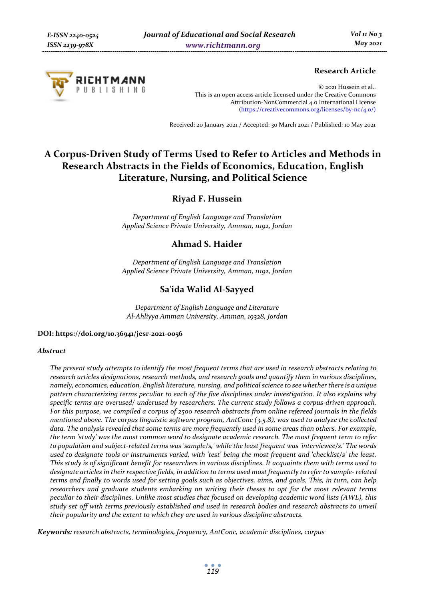

## **Research Article**

© 2021 Hussein et al.. This is an open access article licensed under the Creative Commons Attribution-NonCommercial 4.0 International License (https://creativecommons.org/licenses/by-nc/4.0/)

Received: 20 January 2021 / Accepted: 30 March 2021 / Published: 10 May 2021

# **A Corpus-Driven Study of Terms Used to Refer to Articles and Methods in Research Abstracts in the Fields of Economics, Education, English Literature, Nursing, and Political Science**

**Riyad F. Hussein** 

*Department of English Language and Translation Applied Science Private University, Amman, 11192, Jordan* 

## **Ahmad S. Haider**

*Department of English Language and Translation Applied Science Private University, Amman, 11192, Jordan* 

## **Sa'ida Walid Al-Sayyed**

*Department of English Language and Literature Al-Ahliyya Amman University, Amman, 19328, Jordan* 

#### **DOI: https://doi.org/10.36941/jesr-2021-0056**

#### *Abstract*

*The present study attempts to identify the most frequent terms that are used in research abstracts relating to research articles designations, research methods, and research goals and quantify them in various disciplines, namely, economics, education, English literature, nursing, and political science to see whether there is a unique pattern characterizing terms peculiar to each of the five disciplines under investigation. It also explains why specific terms are overused/ underused by researchers. The current study follows a corpus-driven approach. For this purpose, we compiled a corpus of 2500 research abstracts from online refereed journals in the fields mentioned above. The corpus linguistic software program, AntConc (3.5.8), was used to analyze the collected data. The analysis revealed that some terms are more frequently used in some areas than others. For example, the term 'study' was the most common word to designate academic research. The most frequent term to refer to population and subject-related terms was 'sample/s,' while the least frequent was 'interviewee/s.' The words used to designate tools or instruments varied, with 'test' being the most frequent and 'checklist/s' the least. This study is of significant benefit for researchers in various disciplines. It acquaints them with terms used to designate articles in their respective fields, in addition to terms used most frequently to refer to sample- related terms and finally to words used for setting goals such as objectives, aims, and goals. This, in turn, can help researchers and graduate students embarking on writing their theses to opt for the most relevant terms peculiar to their disciplines. Unlike most studies that focused on developing academic word lists (AWL), this study set off with terms previously established and used in research bodies and research abstracts to unveil their popularity and the extent to which they are used in various discipline abstracts.* 

*Keywords: research abstracts, terminologies, frequency, AntConc, academic disciplines, corpus*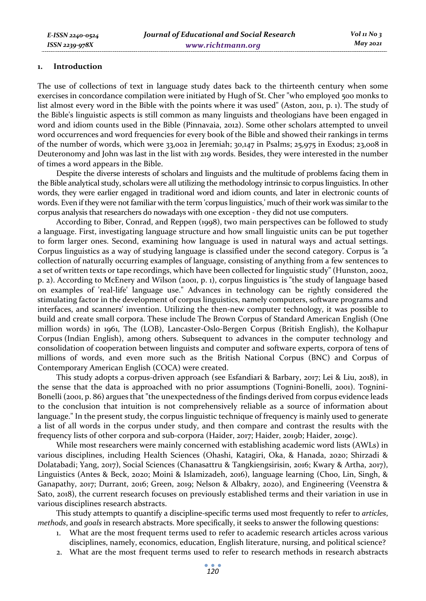#### **1. Introduction**

The use of collections of text in language study dates back to the thirteenth century when some exercises in concordance compilation were initiated by Hugh of St. Cher "who employed 500 monks to list almost every word in the Bible with the points where it was used" (Aston, 2011, p. 1). The study of the Bible's linguistic aspects is still common as many linguists and theologians have been engaged in word and idiom counts used in the Bible (Pinnavaia, 2012). Some other scholars attempted to unveil word occurrences and word frequencies for every book of the Bible and showed their rankings in terms of the number of words, which were 33,002 in Jeremiah; 30,147 in Psalms; 25,975 in Exodus; 23,008 in Deuteronomy and John was last in the list with 219 words. Besides, they were interested in the number of times a word appears in the Bible.

Despite the diverse interests of scholars and linguists and the multitude of problems facing them in the Bible analytical study, scholars were all utilizing the methodology intrinsic to corpus linguistics. In other words, they were earlier engaged in traditional word and idiom counts, and later in electronic counts of words. Even if they were not familiar with the term 'corpus linguistics,' much of their work was similar to the corpus analysis that researchers do nowadays with one exception - they did not use computers.

According to Biber, Conrad, and Reppen (1998), two main perspectives can be followed to study a language. First, investigating language structure and how small linguistic units can be put together to form larger ones. Second, examining how language is used in natural ways and actual settings. Corpus linguistics as a way of studying language is classified under the second category. Corpus is *"*a collection of naturally occurring examples of language, consisting of anything from a few sentences to a set of written texts or tape recordings, which have been collected for linguistic study" (Hunston, 2002, p. 2). According to McEnery and Wilson (2001, p. 1), corpus linguistics is "the study of language based on examples of 'real-life' language use." Advances in technology can be rightly considered the stimulating factor in the development of corpus linguistics, namely computers, software programs and interfaces, and scanners' invention. Utilizing the then-new computer technology, it was possible to build and create small corpora. These include The Brown Corpus of Standard American English (One million words) in 1961, The (LOB), Lancaster-Oslo-Bergen Corpus (British English), the Kolhapur Corpus (Indian English), among others. Subsequent to advances in the computer technology and consolidation of cooperation between linguists and computer and software experts, corpora of tens of millions of words, and even more such as the British National Corpus (BNC) and Corpus of Contemporary American English (COCA) were created.

This study adopts a corpus-driven approach (see Esfandiari & Barbary, 2017; Lei & Liu, 2018), in the sense that the data is approached with no prior assumptions (Tognini-Bonelli, 2001). Tognini-Bonelli (2001, p. 86) argues that "the unexpectedness of the findings derived from corpus evidence leads to the conclusion that intuition is not comprehensively reliable as a source of information about language." In the present study, the corpus linguistic technique of frequency is mainly used to generate a list of all words in the corpus under study, and then compare and contrast the results with the frequency lists of other corpora and sub-corpora (Haider, 2017; Haider, 2019b; Haider, 2019c).

While most researchers were mainly concerned with establishing academic word lists (AWLs) in various disciplines, including Health Sciences (Ohashi, Katagiri, Oka, & Hanada, 2020; Shirzadi & Dolatabadi; Yang, 2017), Social Sciences (Chanasattru & Tangkiengsirisin, 2016; Kwary & Artha, 2017), Linguistics (Antes & Beck, 2020; Moini & Islamizadeh, 2016), language learning (Choo, Lin, Singh, & Ganapathy, 2017; Durrant, 2016; Green, 2019; Nelson & Albakry, 2020), and Engineering (Veenstra & Sato, 2018), the current research focuses on previously established terms and their variation in use in various disciplines research abstracts.

This study attempts to quantify a discipline-specific terms used most frequently to refer to *articles*, *methods*, and *goals* in research abstracts. More specifically, it seeks to answer the following questions:

- 1. What are the most frequent terms used to refer to academic research articles across various disciplines, namely, economics, education, English literature, nursing, and political science?
- 2. What are the most frequent terms used to refer to research methods in research abstracts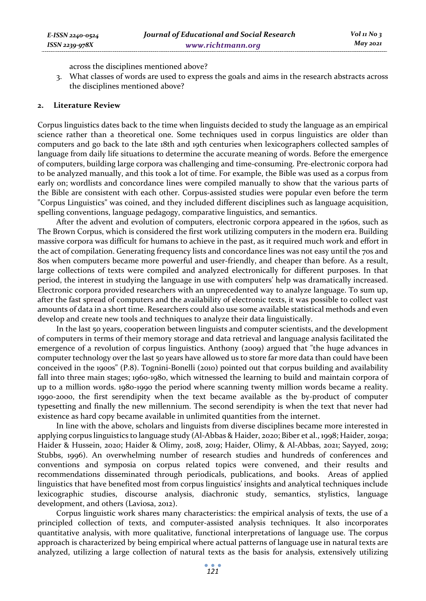across the disciplines mentioned above?

3. What classes of words are used to express the goals and aims in the research abstracts across the disciplines mentioned above?

### **2. Literature Review**

Corpus linguistics dates back to the time when linguists decided to study the language as an empirical science rather than a theoretical one. Some techniques used in corpus linguistics are older than computers and go back to the late 18th and 19th centuries when lexicographers collected samples of language from daily life situations to determine the accurate meaning of words. Before the emergence of computers, building large corpora was challenging and time-consuming. Pre-electronic corpora had to be analyzed manually, and this took a lot of time. For example, the Bible was used as a corpus from early on; wordlists and concordance lines were compiled manually to show that the various parts of the Bible are consistent with each other. Corpus-assisted studies were popular even before the term "Corpus Linguistics" was coined, and they included different disciplines such as language acquisition, spelling conventions, language pedagogy, comparative linguistics, and semantics.

After the advent and evolution of computers, electronic corpora appeared in the 1960s, such as The Brown Corpus, which is considered the first work utilizing computers in the modern era. Building massive corpora was difficult for humans to achieve in the past, as it required much work and effort in the act of compilation. Generating frequency lists and concordance lines was not easy until the 70s and 80s when computers became more powerful and user-friendly, and cheaper than before. As a result, large collections of texts were compiled and analyzed electronically for different purposes. In that period, the interest in studying the language in use with computers' help was dramatically increased. Electronic corpora provided researchers with an unprecedented way to analyze language. To sum up, after the fast spread of computers and the availability of electronic texts, it was possible to collect vast amounts of data in a short time. Researchers could also use some available statistical methods and even develop and create new tools and techniques to analyze their data linguistically.

In the last 50 years, cooperation between linguists and computer scientists, and the development of computers in terms of their memory storage and data retrieval and language analysis facilitated the emergence of a revolution of corpus linguistics. Anthony (2009) argued that "the huge advances in computer technology over the last 50 years have allowed us to store far more data than could have been conceived in the 1900s" (P.8). Tognini-Bonelli (2010) pointed out that corpus building and availability fall into three main stages; 1960-1980, which witnessed the learning to build and maintain corpora of up to a million words. 1980-1990 the period where scanning twenty million words became a reality. 1990-2000, the first serendipity when the text became available as the by-product of computer typesetting and finally the new millennium. The second serendipity is when the text that never had existence as hard copy became available in unlimited quantities from the internet.

In line with the above, scholars and linguists from diverse disciplines became more interested in applying corpus linguistics to language study (Al-Abbas & Haider, 2020; Biber et al., 1998; Haider, 2019a; Haider & Hussein, 2020; Haider & Olimy, 2018, 2019; Haider, Olimy, & Al-Abbas, 2021; Sayyed, 2019; Stubbs, 1996). An overwhelming number of research studies and hundreds of conferences and conventions and symposia on corpus related topics were convened, and their results and recommendations disseminated through periodicals, publications, and books. Areas of applied linguistics that have benefited most from corpus linguistics' insights and analytical techniques include lexicographic studies, discourse analysis, diachronic study, semantics, stylistics, language development, and others (Laviosa, 2012).

Corpus linguistic work shares many characteristics: the empirical analysis of texts, the use of a principled collection of texts, and computer-assisted analysis techniques. It also incorporates quantitative analysis, with more qualitative, functional interpretations of language use. The corpus approach is characterized by being empirical where actual patterns of language use in natural texts are analyzed, utilizing a large collection of natural texts as the basis for analysis, extensively utilizing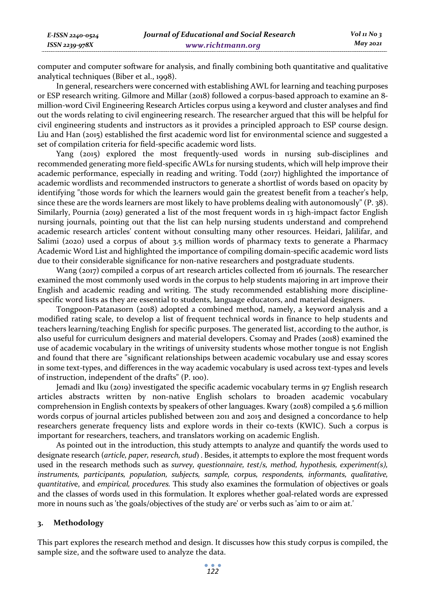*E-ISSN 2240-0524 ISSN 2239-978X*

computer and computer software for analysis, and finally combining both quantitative and qualitative analytical techniques (Biber et al., 1998).

In general, researchers were concerned with establishing AWL for learning and teaching purposes or ESP research writing. Gilmore and Millar (2018) followed a corpus-based approach to examine an 8 million-word Civil Engineering Research Articles corpus using a keyword and cluster analyses and find out the words relating to civil engineering research. The researcher argued that this will be helpful for civil engineering students and instructors as it provides a principled approach to ESP course design. Liu and Han (2015) established the first academic word list for environmental science and suggested a set of compilation criteria for field-specific academic word lists.

Yang (2015) explored the most frequently-used words in nursing sub-disciplines and recommended generating more field-specific AWLs for nursing students, which will help improve their academic performance, especially in reading and writing. Todd (2017) highlighted the importance of academic wordlists and recommended instructors to generate a shortlist of words based on opacity by identifying "those words for which the learners would gain the greatest benefit from a teacher's help, since these are the words learners are most likely to have problems dealing with autonomously" (P. 38). Similarly, Pournia (2019) generated a list of the most frequent words in 13 high-impact factor English nursing journals, pointing out that the list can help nursing students understand and comprehend academic research articles' content without consulting many other resources. Heidari, Jalilifar, and Salimi (2020) used a corpus of about 3.5 million words of pharmacy texts to generate a Pharmacy Academic Word List and highlighted the importance of compiling domain-specific academic word lists due to their considerable significance for non-native researchers and postgraduate students.

Wang (2017) compiled a corpus of art research articles collected from 16 journals. The researcher examined the most commonly used words in the corpus to help students majoring in art improve their English and academic reading and writing. The study recommended establishing more disciplinespecific word lists as they are essential to students, language educators, and material designers.

Tongpoon-Patanasorn (2018) adopted a combined method, namely, a keyword analysis and a modified rating scale, to develop a list of frequent technical words in finance to help students and teachers learning/teaching English for specific purposes. The generated list, according to the author, is also useful for curriculum designers and material developers. Csomay and Prades (2018) examined the use of academic vocabulary in the writings of university students whose mother tongue is not English and found that there are "significant relationships between academic vocabulary use and essay scores in some text-types, and differences in the way academic vocabulary is used across text-types and levels of instruction, independent of the drafts" (P. 100).

Jemadi and Iku (2019) investigated the specific academic vocabulary terms in 97 English research articles abstracts written by non-native English scholars to broaden academic vocabulary comprehension in English contexts by speakers of other languages. Kwary (2018) compiled a 5.6 million words corpus of journal articles published between 2011 and 2015 and designed a concordance to help researchers generate frequency lists and explore words in their co-texts (KWIC). Such a corpus is important for researchers, teachers, and translators working on academic English.

As pointed out in the introduction, this study attempts to analyze and quantify the words used to designate research (*article, paper, research, stud*) . Besides, it attempts to explore the most frequent words used in the research methods such as *survey, questionnaire, test/s, method, hypothesis, experiment(s), instruments, participants, population, subjects, sample, corpus, respondents, informants, qualitative, quantitativ*e, and *empirical, procedures.* This study also examines the formulation of objectives or goals and the classes of words used in this formulation. It explores whether goal-related words are expressed more in nouns such as 'the goals/objectives of the study are' or verbs such as 'aim to or aim at.'

## **3. Methodology**

This part explores the research method and design. It discusses how this study corpus is compiled, the sample size, and the software used to analyze the data.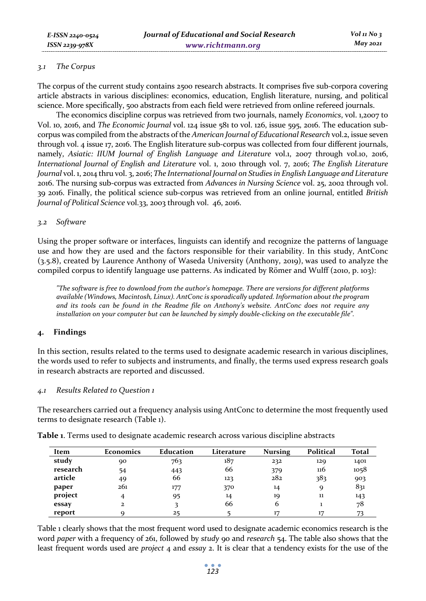### *3.1 The Corpus*

The corpus of the current study contains 2500 research abstracts. It comprises five sub-corpora covering article abstracts in various disciplines: economics, education, English literature, nursing, and political science. More specifically, 500 abstracts from each field were retrieved from online refereed journals.

The economics discipline corpus was retrieved from two journals, namely *Economics*, vol. 1,2007 to Vol. 10, 2016, and *The Economic Journal* vol. 124 issue 581 to vol. 126, issue 595, 2016. The education subcorpus was compiled from the abstracts of the *American Journal of Educational Research* vol.2, issue seven through vol. 4 issue 17, 2016. The English literature sub-corpus was collected from four different journals, namely, *Asiatic: IIUM Journal of English Language and Literature* vol.1, 2007 through vol.10, 2016, *International Journal of English and Literature* vol. 1, 2010 through vol. 7, 2016; *The English Literature Journal* vol. 1, 2014 thru vol. 3, 2016; *The International Journal on Studies in English Language and Literature* 2016. The nursing sub-corpus was extracted from *Advances in Nursing Science* vol. 25, 2002 through vol. 39 2016. Finally, the political science sub-corpus was retrieved from an online journal, entitled *British Journal of Political Science* vol.33, 2003 through vol. 46, 2016.

### *3.2 Software*

Using the proper software or interfaces, linguists can identify and recognize the patterns of language use and how they are used and the factors responsible for their variability. In this study, AntConc (3.5.8), created by Laurence Anthony of Waseda University (Anthony, 2019), was used to analyze the compiled corpus to identify language use patterns. As indicated by Römer and Wulff (2010, p. 103):

*"The software is free to download from the author's homepage. There are versions for different platforms available (Windows, Macintosh, Linux). AntConc is sporadically updated. Information about the program and its tools can be found in the Readme file on Anthony's website. AntConc does not require any installation on your computer but can be launched by simply double-clicking on the executable file".* 

## **4. Findings**

In this section, results related to the terms used to designate academic research in various disciplines, the words used to refer to subjects and instruments, and finally, the terms used express research goals in research abstracts are reported and discussed.

#### *4.1 Results Related to Question 1*

The researchers carried out a frequency analysis using AntConc to determine the most frequently used terms to designate research (Table 1).

| Item     | <b>Economics</b> | Education | Literature | <b>Nursing</b> | Political | Total |
|----------|------------------|-----------|------------|----------------|-----------|-------|
| study    | 90               | 763       | 187        | 232            | 129       | 1401  |
| research | 54               | 443       | 66         | 379            | 116       | 1058  |
| article  | 49               | 66        | 123        | 282            | 383       | 903   |
| paper    | 261              | 177       | 370        | 14             | Q         | 831   |
| project  |                  | 95        | 14         | 19             | 11        | 143   |
| essay    |                  |           | 66         | 6              |           | 78    |
| report   |                  |           |            | 17             |           |       |

**Table 1**. Terms used to designate academic research across various discipline abstracts

Table 1 clearly shows that the most frequent word used to designate academic economics research is the word *paper* with a frequency of 261, followed by *study* 90 and *research* 54. The table also shows that the least frequent words used are *project* 4 and *essay* 2. It is clear that a tendency exists for the use of the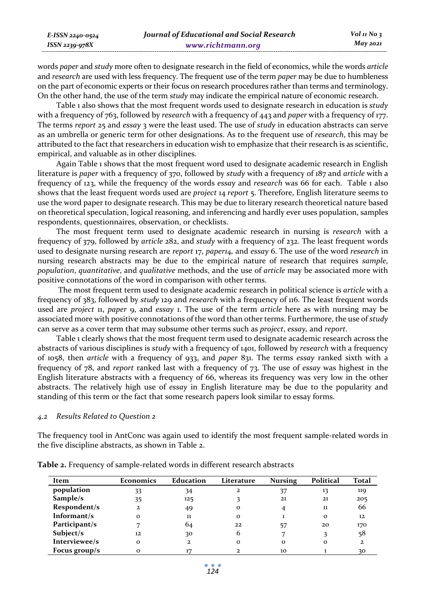*E-ISSN 2240-0524 ISSN 2239-978X*

words *paper* and *study* more often to designate research in the field of economics, while the words *article* and *research* are used with less frequency. The frequent use of the term *paper* may be due to humbleness on the part of economic experts or their focus on research procedures rather than terms and terminology. On the other hand, the use of the term *study* may indicate the empirical nature of economic research.

Table 1 also shows that the most frequent words used to designate research in education is *study* with a frequency of 763, followed by *research* with a frequency of 443 and *paper* with a frequency of 177. The terms *report* 25 and *essay* 3 were the least used. The use of *study* in education abstracts can serve as an umbrella or generic term for other designations. As to the frequent use of *research*, this may be attributed to the fact that researchers in education wish to emphasize that their research is as scientific, empirical, and valuable as in other disciplines.

Again Table 1 shows that the most frequent word used to designate academic research in English literature is *paper* with a frequency of 370, followed by *study* with a frequency of 187 and *article* with a frequency of 123, while the frequency of the words *essay* and *research* was 66 for each. Table 1 also shows that the least frequent words used are *project* 14 *report* 5. Therefore, English literature seems to use the word paper to designate research. This may be due to literary research theoretical nature based on theoretical speculation, logical reasoning, and inferencing and hardly ever uses population, samples respondents, questionnaires, observation, or checklists.

The most frequent term used to designate academic research in nursing is *research* with a frequency of 379, followed by *article* 282, and *study* with a frequency of 232. The least frequent words used to designate nursing research are *report* 17, *paper14,* and *essay* 6. The use of the word *research* in nursing research abstracts may be due to the empirical nature of research that requires *sample*, *population*, *quantitative*, and *qualitative* methods, and the use of *article* may be associated more with positive connotations of the word in comparison with other terms.

 The most frequent term used to designate academic research in political science is *article* with a frequency of 383, followed by *study* 129 and *research* with a frequency of 116. The least frequent words used are *project* 11, *paper* 9, and *essay* 1. The use of the term *article* here as with nursing may be associated more with positive connotations of the word than other terms. Furthermore, the use of *study* can serve as a cover term that may subsume other terms such as *project*, *essay,* and *report*.

Table 1 clearly shows that the most frequent term used to designate academic research across the abstracts of various disciplines is *study* with a frequency of 1401, followed by *research* with a frequency of 1058, then *article* with a frequency of 933, and *paper* 831. The terms *essay* ranked sixth with a frequency of 78, and *report* ranked last with a frequency of 73. The use of *essay* was highest in the English literature abstracts with a frequency of 66, whereas its frequency was very low in the other abstracts. The relatively high use of *essay* in English literature may be due to the popularity and standing of this term or the fact that some research papers look similar to essay forms.

## *4.2 Results Related to Question 2*

The frequency tool in AntConc was again used to identify the most frequent sample-related words in the five discipline abstracts, as shown in Table 2.

| Item          | <b>Economics</b> | <b>Education</b> | Literature | <b>Nursing</b> | Political | Total |
|---------------|------------------|------------------|------------|----------------|-----------|-------|
| population    | 33               | 34               | 2          | 37             | 13        | 119   |
| Sample/s      | 35               | 125              |            | 21             | 21        | 205   |
| Respondent/s  | $\mathbf{z}$     | 49               | $\Omega$   |                | 11        | 66    |
| Informant/s   | $\Omega$         | 11               | $\Omega$   |                | $\Omega$  | 12    |
| Participant/s |                  | 64               | 22         | 57             | 20        | 170   |
| Subject/s     | 12               | 30               | h          |                |           | 58    |
| Interviewee/s | $\Omega$         | $\mathbf{z}$     | $\Omega$   | $\Omega$       | $\Omega$  | 2     |
| Focus group/s | $\Omega$         | 17               |            | 10             |           | 30    |

**Table 2.** Frequency of sample-related words in different research abstracts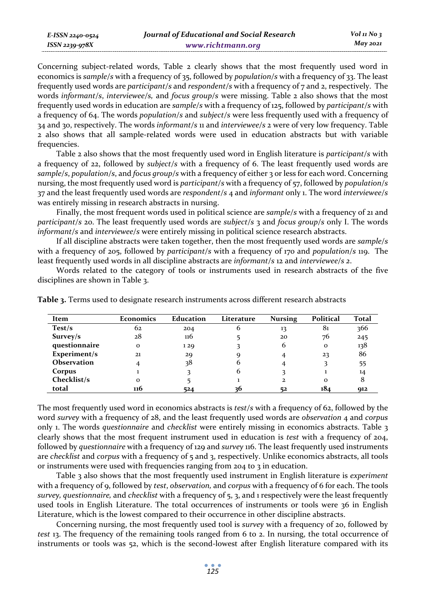*E-ISSN 2240-0524 ISSN 2239-978X*

Concerning subject-related words, Table 2 clearly shows that the most frequently used word in economics is *sample/s* with a frequency of 35, followed by *population/s* with a frequency of 33. The least frequently used words are *participant/s* and *respondent/s* with a frequency of 7 and 2, respectively. The words *informant/s*, *interviewee/s,* and *focus group/s* were missing. Table 2 also shows that the most frequently used words in education are *sample/s* with a frequency of 125, followed by *participant/s* with a frequency of 64. The words *population/s* and *subject/s* were less frequently used with a frequency of 34 and 30, respectively. The words *informant/s* 11 and *interviewee/s* 2 were of very low frequency. Table 2 also shows that all sample-related words were used in education abstracts but with variable frequencies.

Table 2 also shows that the most frequently used word in English literature is *participant/s* with a frequency of 22, followed by *subject/s* with a frequency of 6. The least frequently used words are *sample/s*, *population/s*, and *focus group/s* with a frequency of either 3 or less for each word. Concerning nursing, the most frequently used word is *participant/s* with a frequency of 57, followed by *population/s* 37 and the least frequently used words are *respondent/s* 4 and *informant* only 1. The word *interviewee/s* was entirely missing in research abstracts in nursing.

Finally, the most frequent words used in political science are *sample/s* with a frequency of 21 and *participant/s* 20. The least frequently used words are *subject/s* 3 and *focus group/s* only I. The words *informant/s* and *interviewee/s* were entirely missing in political science research abstracts.

If all discipline abstracts were taken together, then the most frequently used words are *sample/s* with a frequency of 205, followed by *participant/s* with a frequency of 170 and *population/s* 119. The least frequently used words in all discipline abstracts are *informant/s* 12 and *interviewee/s 2*.

Words related to the category of tools or instruments used in research abstracts of the five disciplines are shown in Table 3.

| Item          | <b>Economics</b> | Education | Literature | <b>Nursing</b> | Political | Total |
|---------------|------------------|-----------|------------|----------------|-----------|-------|
| Test/s        | 62               | 204       | b          | 13             | 81        | 366   |
| Survey/s      | 28               | 116       |            | 20             | 76        | 245   |
| questionnaire | $\mathbf{o}$     | 129       |            | 6              | $\Omega$  | 138   |
| Experiment/s  | 21               | 29        |            |                | 23        | 86    |
| Observation   | 4                | 38        |            |                |           | 55    |
| Corpus        |                  |           |            |                |           | 14    |
| Checklist/s   | $\Omega$         |           |            | 2              | $\Omega$  |       |
| total         | 116              | 524       | 36         | 52             | 184       | 912   |

**Table 3.** Terms used to designate research instruments across different research abstracts

The most frequently used word in economics abstracts is *test/s* with a frequency of 62, followed by the word *survey* with a frequency of 28, and the least frequently used words are *observation* 4 and *corpus* only 1. The words *questionnaire* and *checklist* were entirely missing in economics abstracts. Table 3 clearly shows that the most frequent instrument used in education is *test* with a frequency of 204, followed by *questionnaire* with a frequency of 129 and *survey* 116. The least frequently used instruments are *checklist* and *corpus* with a frequency of 5 and 3, respectively. Unlike economics abstracts, all tools or instruments were used with frequencies ranging from 204 to 3 in education.

Table 3 also shows that the most frequently used instrument in English literature is *experiment* with a frequency of 9, followed by *test*, *observation,* and *corpus* with a frequency of 6 for each. The tools *survey, questionnaire,* and *checklist* with a frequency of 5, 3, and 1 respectively were the least frequently used tools in English Literature. The total occurrences of instruments or tools were 36 in English Literature, which is the lowest compared to their occurrence in other discipline abstracts.

Concerning nursing, the most frequently used tool is *survey* with a frequency of 20, followed by *test* 13. The frequency of the remaining tools ranged from 6 to 2. In nursing, the total occurrence of instruments or tools was 52, which is the second-lowest after English literature compared with its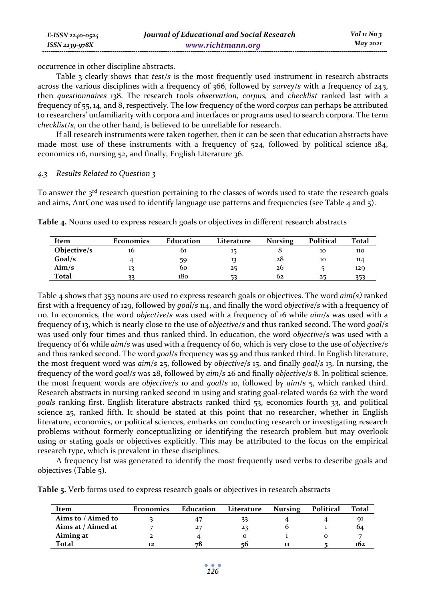occurrence in other discipline abstracts.

Table 3 clearly shows that *test/s* is the most frequently used instrument in research abstracts across the various disciplines with a frequency of 366, followed by *survey/s* with a frequency of 245, then *questionnaires* 138. The research tools *observation*, *corpus,* and *checklist* ranked last with a frequency of 55, 14, and 8, respectively. The low frequency of the word *corpus* can perhaps be attributed to researchers' unfamiliarity with corpora and interfaces or programs used to search corpora. The term *checklist/s*, on the other hand, is believed to be unreliable for research.

If all research instruments were taken together, then it can be seen that education abstracts have made most use of these instruments with a frequency of 524, followed by political science 184, economics 116, nursing 52, and finally, English Literature 36.

#### *4.3 Results Related to Question 3*

To answer the  $3<sup>rd</sup>$  research question pertaining to the classes of words used to state the research goals and aims, AntConc was used to identify language use patterns and frequencies (see Table 4 and 5).

**Table 4.** Nouns used to express research goals or objectives in different research abstracts

| Item        | Economics | Education | Literature | <b>Nursing</b> | Political | Total |
|-------------|-----------|-----------|------------|----------------|-----------|-------|
| Objective/s | 10        | 01        |            |                | 10        | 110   |
| Goal/s      |           | 59        |            | 28             | 10        | 114   |
| Aim/s       |           | 60        | 25         | 26             |           | 129   |
| Total       |           | 180       |            | 62             | 25        |       |

Table 4 shows that 353 nouns are used to express research goals or objectives. The word *aim(s)* ranked first with a frequency of 129, followed by *goal/s* 114, and finally the word *objective/s* with a frequency of 110. In economics, the word *objective/s* was used with a frequency of 16 while *aim/s* was used with a frequency of 13, which is nearly close to the use of *objective/s* and thus ranked second. The word *goal/s* was used only four times and thus ranked third. In education, the word *objective/s* was used with a frequency of 61 while *aim/s* was used with a frequency of 60, which is very close to the use of *objective/s* and thus ranked second. The word *goal/s* frequency was 59 and thus ranked third. In English literature, the most frequent word was *aim/s* 25, followed by *objective/s* 15, and finally *goal/s* 13. In nursing, the frequency of the word *goal/s* was 28, followed by *aim/s* 26 and finally *objective/s* 8. In political science, the most frequent words are *objective/s* 10 and *goal/s* 10, followed by *aim/s* 5, which ranked third. Research abstracts in nursing ranked second in using and stating goal-related words 62 with the word *goals* ranking first. English literature abstracts ranked third 53, economics fourth 33, and political science 25, ranked fifth. It should be stated at this point that no researcher, whether in English literature, economics, or political sciences, embarks on conducting research or investigating research problems without formerly conceptualizing or identifying the research problem but may overlook using or stating goals or objectives explicitly. This may be attributed to the focus on the empirical research type, which is prevalent in these disciplines.

A frequency list was generated to identify the most frequently used verbs to describe goals and objectives (Table 5).

**Table 5.** Verb forms used to express research goals or objectives in research abstracts

| Item               | <b>Economics</b> | Education | Literature | <b>Nursing</b> | Political | Total |
|--------------------|------------------|-----------|------------|----------------|-----------|-------|
| Aims to / Aimed to |                  |           |            |                |           | 91    |
| Aims at / Aimed at |                  | 27        | 23         |                |           | 04    |
| Aiming at          |                  |           |            |                |           |       |
| Total              | 12               | 78        | ςf         | 11             |           | 102   |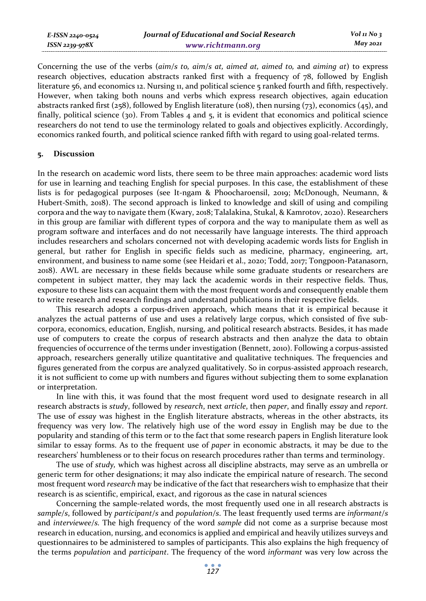| E-ISSN 2240-0524 | Journal of Educational and Social Research | $Vol_1N_0$ 3 |
|------------------|--------------------------------------------|--------------|
| ISSN 2239-978X   | www.richtmann.org                          | May 2021     |
|                  |                                            |              |

Concerning the use of the verbs (*aim/s to, aim/s at, aimed at, aimed to,* and *aiming at*) to express research objectives, education abstracts ranked first with a frequency of 78, followed by English literature 56, and economics 12. Nursing 11, and political science 5 ranked fourth and fifth, respectively. However, when taking both nouns and verbs which express research objectives, again education abstracts ranked first (258), followed by English literature (108), then nursing (73), economics (45), and finally, political science (30). From Tables 4 and 5, it is evident that economics and political science researchers do not tend to use the terminology related to goals and objectives explicitly. Accordingly, economics ranked fourth, and political science ranked fifth with regard to using goal-related terms.

### **5. Discussion**

In the research on academic word lists, there seem to be three main approaches: academic word lists for use in learning and teaching English for special purposes. In this case, the establishment of these lists is for pedagogical purposes (see It-ngam & Phoocharoensil, 2019; McDonough, Neumann, & Hubert-Smith, 2018). The second approach is linked to knowledge and skill of using and compiling corpora and the way to navigate them (Kwary, 2018; Talalakina, Stukal, & Kamrotov, 2020). Researchers in this group are familiar with different types of corpora and the way to manipulate them as well as program software and interfaces and do not necessarily have language interests. The third approach includes researchers and scholars concerned not with developing academic words lists for English in general, but rather for English in specific fields such as medicine, pharmacy, engineering, art, environment, and business to name some (see Heidari et al., 2020; Todd, 2017; Tongpoon-Patanasorn, 2018). AWL are necessary in these fields because while some graduate students or researchers are competent in subject matter, they may lack the academic words in their respective fields. Thus, exposure to these lists can acquaint them with the most frequent words and consequently enable them to write research and research findings and understand publications in their respective fields.

This research adopts a corpus-driven approach, which means that it is empirical because it analyzes the actual patterns of use and uses a relatively large corpus, which consisted of five subcorpora, economics, education, English, nursing, and political research abstracts. Besides, it has made use of computers to create the corpus of research abstracts and then analyze the data to obtain frequencies of occurrence of the terms under investigation (Bennett, 2010). Following a corpus-assisted approach, researchers generally utilize quantitative and qualitative techniques. The frequencies and figures generated from the corpus are analyzed qualitatively. So in corpus-assisted approach research, it is not sufficient to come up with numbers and figures without subjecting them to some explanation or interpretation.

In line with this, it was found that the most frequent word used to designate research in all research abstracts is *study*, followed by *research*, next *article*, then *paper*, and finally *essay* and *report.* The use of *essay* was highest in the English literature abstracts, whereas in the other abstracts, its frequency was very low. The relatively high use of the word *essay* in English may be due to the popularity and standing of this term or to the fact that some research papers in English literature look similar to essay forms. As to the frequent use of *paper* in economic abstracts*,* it may be due to the researchers' humbleness or to their focus on research procedures rather than terms and terminology.

The use of *study,* which was highest across all discipline abstracts, may serve as an umbrella or generic term for other designations; it may also indicate the empirical nature of research. The second most frequent word *research* may be indicative of the fact that researchers wish to emphasize that their research is as scientific, empirical, exact, and rigorous as the case in natural sciences

Concerning the sample-related words, the most frequently used one in all research abstracts is *sample/s*, followed by *participant/s* and *population/s*. The least frequently used terms are *informant/s* and *interviewee/s.* The high frequency of the word *sample* did not come as a surprise because most research in education, nursing, and economics is applied and empirical and heavily utilizes surveys and questionnaires to be administered to samples of participants. This also explains the high frequency of the terms *population* and *participant*. The frequency of the word *informant* was very low across the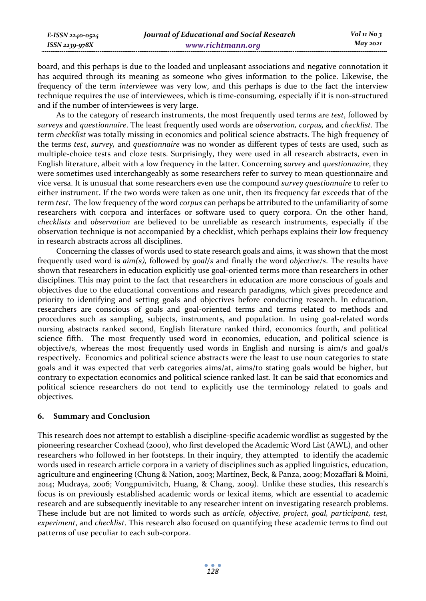board, and this perhaps is due to the loaded and unpleasant associations and negative connotation it has acquired through its meaning as someone who gives information to the police. Likewise, the frequency of the term *interviewee* was very low, and this perhaps is due to the fact the interview technique requires the use of interviewees, which is time-consuming, especially if it is non-structured and if the number of interviewees is very large.

As to the category of research instruments, the most frequently used terms are *test*, followed by *surveys* and *questionnaire*. The least frequently used words are *observation, corpus,* and *checklist.* The term *checklist* was totally missing in economics and political science abstracts*.* The high frequency of the terms *test*, *survey,* and *questionnaire* was no wonder as different types of tests are used, such as multiple-choice tests and cloze tests. Surprisingly, they were used in all research abstracts, even in English literature, albeit with a low frequency in the latter. Concerning s*urvey* and *questionnaire*, they were sometimes used interchangeably as some researchers refer to survey to mean questionnaire and vice versa. It is unusual that some researchers even use the compound *survey questionnaire* to refer to either instrument. If the two words were taken as one unit, then its frequency far exceeds that of the term *test*. The low frequency of the word *corpus* can perhaps be attributed to the unfamiliarity of some researchers with corpora and interfaces or software used to query corpora. On the other hand, *checklists* and *observation* are believed to be unreliable as research instruments, especially if the observation technique is not accompanied by a checklist, which perhaps explains their low frequency in research abstracts across all disciplines.

Concerning the classes of words used to state research goals and aims, it was shown that the most frequently used word is *aim(s),* followed by *goal/s* and finally the word *objective/s*. The results have shown that researchers in education explicitly use goal-oriented terms more than researchers in other disciplines. This may point to the fact that researchers in education are more conscious of goals and objectives due to the educational conventions and research paradigms, which gives precedence and priority to identifying and setting goals and objectives before conducting research. In education, researchers are conscious of goals and goal-oriented terms and terms related to methods and procedures such as sampling, subjects, instruments, and population. In using goal-related words nursing abstracts ranked second, English literature ranked third, economics fourth, and political science fifth. The most frequently used word in economics, education, and political science is objective/s, whereas the most frequently used words in English and nursing is aim/s and goal/s respectively. Economics and political science abstracts were the least to use noun categories to state goals and it was expected that verb categories aims/at, aims/to stating goals would be higher, but contrary to expectation economics and political science ranked last. It can be said that economics and political science researchers do not tend to explicitly use the terminology related to goals and objectives.

## **6. Summary and Conclusion**

This research does not attempt to establish a discipline-specific academic wordlist as suggested by the pioneering researcher Coxhead (2000), who first developed the Academic Word List (AWL), and other researchers who followed in her footsteps. In their inquiry, they attempted to identify the academic words used in research article corpora in a variety of disciplines such as applied linguistics, education, agriculture and engineering (Chung & Nation, 2003; Martínez, Beck, & Panza, 2009; Mozaffari & Moini, 2014; Mudraya, 2006; Vongpumivitch, Huang, & Chang, 2009). Unlike these studies, this research's focus is on previously established academic words or lexical items, which are essential to academic research and are subsequently inevitable to any researcher intent on investigating research problems. These include but are not limited to words such as *article, objective, project, goal, participant, test, experiment*, and *checklist*. This research also focused on quantifying these academic terms to find out patterns of use peculiar to each sub-corpora.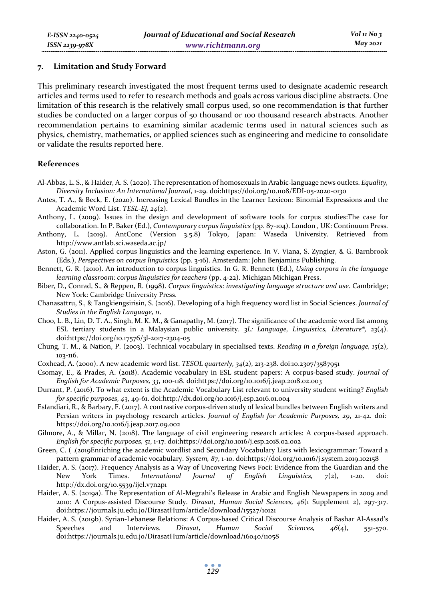#### **7. Limitation and Study Forward**

This preliminary research investigated the most frequent terms used to designate academic research articles and terms used to refer to research methods and goals across various discipline abstracts. One limitation of this research is the relatively small corpus used, so one recommendation is that further studies be conducted on a larger corpus of 50 thousand or 100 thousand research abstracts. Another recommendation pertains to examining similar academic terms used in natural sciences such as physics, chemistry, mathematics, or applied sciences such as engineering and medicine to consolidate or validate the results reported here.

#### **References**

- Al-Abbas, L. S., & Haider, A. S. (2020). The representation of homosexuals in Arabic-language news outlets. *Equality, Diversity Inclusion: An International Journal*, 1-29. doi:https://doi.org/10.1108/EDI-05-2020-0130
- Antes, T. A., & Beck, E. (2020). Increasing Lexical Bundles in the Learner Lexicon: Binomial Expressions and the Academic Word List. *TESL-EJ, 24*(2).
- Anthony, L. (2009). Issues in the design and development of software tools for corpus studies:The case for collaboration. In P. Baker (Ed.), *Contemporary corpus linguistics* (pp. 87-104). London , UK: Continuum Press.
- Anthony, L. (2019). AntConc (Version 3.5.8) Tokyo, Japan: Waseda University. Retrieved from http://www.antlab.sci.waseda.ac.jp/
- Aston, G. (2011). Applied corpus linguistics and the learning experience. In V. Viana, S. Zyngier, & G. Barnbrook (Eds.), *Perspectives on corpus linguistics* (pp. 3-16). Amsterdam: John Benjamins Publishing.
- Bennett, G. R. (2010). An introduction to corpus linguistics. In G. R. Bennett (Ed.), *Using corpora in the language learning classroom: corpus linguistics for teachers* (pp. 4-22). Michigan Michigan Press.
- Biber, D., Conrad, S., & Reppen, R. (1998). *Corpus linguistics: investigating language structure and use*. Cambridge; New York: Cambridge University Press.
- Chanasattru, S., & Tangkiengsirisin, S. (2016). Developing of a high frequency word list in Social Sciences. *Journal of Studies in the English Language, 11*.
- Choo, L. B., Lin, D. T. A., Singh, M. K. M., & Ganapathy, M. (2017). The significance of the academic word list among ESL tertiary students in a Malaysian public university. *3L: Language, Linguistics, Literature®, 23*(4). doi:https://doi.org/10.17576/3l-2017-2304-05
- Chung, T. M., & Nation, P. (2003). Technical vocabulary in specialised texts. *Reading in a foreign language, 15*(2), 103-116.
- Coxhead, A. (2000). A new academic word list. *TESOL quarterly, 34*(2), 213-238. doi:10.2307/3587951
- Csomay, E., & Prades, A. (2018). Academic vocabulary in ESL student papers: A corpus-based study. *Journal of English for Academic Purposes, 33*, 100-118. doi:https://doi.org/10.1016/j.jeap.2018.02.003
- Durrant, P. (2016). To what extent is the Academic Vocabulary List relevant to university student writing? *English for specific purposes, 43*, 49-61. doi:http://dx.doi.org/10.1016/j.esp.2016.01.004
- Esfandiari, R., & Barbary, F. (2017). A contrastive corpus-driven study of lexical bundles between English writers and Persian writers in psychology research articles. *Journal of English for Academic Purposes, 29*, 21-42. doi: https://doi.org/10.1016/j.jeap.2017.09.002
- Gilmore, A., & Millar, N. (2018). The language of civil engineering research articles: A corpus-based approach. *English for specific purposes, 51*, 1-17. doi:https://doi.org/10.1016/j.esp.2018.02.002
- Green, C. (.(2019 Enriching the academic wordlist and Secondary Vocabulary Lists with lexicogrammar: Toward a pattern grammar of academic vocabulary. *System, 87*, 1-10. doi:https://doi.org/10.1016/j.system.2019.102158
- Haider, A. S. (2017). Frequency Analysis as a Way of Uncovering News Foci: Evidence from the Guardian and the New York Times. *International Journal of English Linguistics, 7*(2), 1-20. doi: http://dx.doi.org/10.5539/ijel.v7n2p1
- Haider, A. S. (2019a). The Representation of Al-Megrahi's Release in Arabic and English Newspapers in 2009 and 2010: A Corpus-assisted Discourse Study. *Dirasat, Human Social Sciences, 46*(1 Supplement 2), 297-317. doi:https://journals.ju.edu.jo/DirasatHum/article/download/15527/10121
- Haider, A. S. (2019b). Syrian-Lebanese Relations: A Corpus-based Critical Discourse Analysis of Bashar Al-Assad's Speeches and Interviews. *Dirasat, Human Social Sciences, 46*(4), 551-570. doi:https://journals.ju.edu.jo/DirasatHum/article/download/16040/11058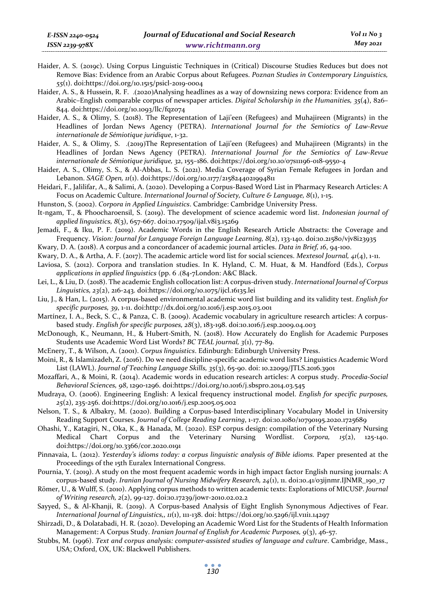*55*(1). doi:https://doi.org/10.1515/psicl-2019-0004 Haider, A. S., & Hussein, R. F. .(2020 )Analysing headlines as a way of downsizing news corpora: Evidence from an Arabic–English comparable corpus of newspaper articles. *Digital Scholarship in the Humanities, 35*(4), 826– 844. doi:https://doi.org/10.1093/llc/fqz074

Haider, A. S., & Olimy, S. (2018). The Representation of Laji'een (Refugees) and Muhajireen (Migrants) in the Headlines of Jordan News Agency (PETRA). *International Journal for the Semiotics of Law-Revue internationale de Sémiotique juridique*, 1-32.

Haider, A. S., & Olimy, S. .(2019 )The Representation of Laji'een (Refugees) and Muhajireen (Migrants) in the Headlines of Jordan News Agency (PETRA). *International Journal for the Semiotics of Law-Revue internationale de Sémiotique juridique, 32*, 155–186. doi:https://doi.org/10.10 07 / s11196-018-9550-4

- Haider, A. S., Olimy, S. S., & Al-Abbas, L. S. (2021). Media Coverage of Syrian Female Refugees in Jordan and Lebanon. *SAGE Open, 11*(1). doi:https://doi.org/10.1177/2158244021994811
- Heidari, F., Jalilifar, A., & Salimi, A. (2020). Developing a Corpus-Based Word List in Pharmacy Research Articles: A Focus on Academic Culture. *International Journal of Society, Culture & Language, 8*(1), 1-15.

Hunston, S. (2002). *Corpora in Applied Linguistics*. Cambridge: Cambridge University Press.

*E-ISSN 2240-0524 ISSN 2239-978X*

It-ngam, T., & Phoocharoensil, S. (2019). The development of science academic word list. *Indonesian journal of applied linguistics, 8*(3), 657-667. doi:10.17509/ijal.v8i3.15269

Jemadi, F., & Iku, P. F. (2019). Academic Words in the English Research Article Abstracts: the Coverage and Frequency. *Vision: Journal for Language Foreign Language Learning, 8*(2), 133-140. doi:10.21580/vjv8i23935

Kwary, D. A. (2018). A corpus and a concordancer of academic journal articles. *Data in Brief, 16*, 94-100.

Kwary, D. A., & Artha, A. F. (2017). The academic article word list for social sciences. *Mextesol Journal, 41*(4), 1-11.

Laviosa, S. (2012). Corpora and translation studies. In K. Hyland, C. M. Huat, & M. Handford (Eds.), *Corpus applications in applied linguistics* (pp. 6.(84-7London: A&C Black.

Lei, L., & Liu, D. (2018). The academic English collocation list: A corpus-driven study. *International Journal of Corpus Linguistics, 23*(2), 216-243. doi:https://doi.org/10.1075/ijcl.16135.lei

Liu, J., & Han, L. (2015). A corpus -based environmental academic word list building and its validity test. *English for specific purposes, 39*, 1-11. doi:http://dx.doi.org/10.1016/j.esp.2015.03.001

Martínez, I. A., Beck, S. C., & Panza, C. B. (2009). Academic vocabulary in agriculture research articles: A corpusbased study. *English for specific purposes, 28*(3), 183-198. doi:10.1016/j.esp.2009.04.003

McDonough, K., Neumann, H., & Hubert-Smith, N. (2018). How Accurately do English for Academic Purposes Students use Academic Word List Words? *BC TEAL journal, 3*(1), 77-89.

McEnery, T., & Wilson, A. (2001). *Corpus linguistics*. Edinburgh: Edinburgh University Press.

Moini, R., & Islamizadeh, Z. (2016). Do we need discipline-specific academic word lists? Linguistics Academic Word List (LAWL). *Journal of Teaching Language Skills, 35*(3), 65-90. doi: 10.22099/JTLS.2016.3901

Mozaffari, A., & Moini, R. (2014). Academic words in education research articles: A corpus study. *Procedia-Social Behavioral Sciences, 98*, 1290-1296. doi:https://doi.org/10.1016/j.sbspro.2014.03.545

Mudraya, O. (2006). Engineering English: A lexical frequency instructional model. *English for specific purposes, 25*(2), 235-256. doi:https://doi.org/10.1016/j.esp.2005.05.002

Nelson, T. S., & Albakry, M. (2020). Building a Corpus-based Interdisciplinary Vocabulary Model in University Reading Support Courses. *Journal of College Reading Learning*, 1-17. doi:10.1080/10790195.2020.1725689

Ohashi, Y., Katagiri, N., Oka, K., & Hanada, M. (2020). ESP corpus design: compilation of the Veterinary Nursing Medical Chart Corpus and the Veterinary Nursing Wordlist. *Corpora, 15*(2), 125-140. doi:https://doi.org/10.3366/cor.2020.0191

Pinnavaia, L. (2012). *Yesterday's idioms today: a corpus linguistic analysis of Bible idioms.* Paper presented at the Proceedings of the 15th Euralex International Congress.

Pournia, Y. (2019). A study on the most frequent academic words in high impact factor English nursing journals: A corpus-based study. *Iranian Journal of Nursing Midwifery Research, 24*(1), 11. doi:10.41 03 / ijnmr.IJNMR\_190\_17

Römer, U., & Wulff, S. (2010). Applying corpus methods to written academic texts: Explorations of MICUSP. *Journal of Writing research, 2*(2), 99-127. doi:10.17239/jowr-2010.02.02.2

Sayyed, S., & Al-Khanji, R. (2019). A Corpus-based Analysis of Eight English Synonymous Adjectives of Fear. *International Journal of Linguistics,, 11*(1), 111-138. doi: https://doi.org/10.5296/ijl.v11i1.14297

Shirzadi, D., & Dolatabadi, H. R. (2020). Developing an Academic Word List for the Students of Health Information Management: A Corpus Study. *Iranian Journal of English for Academic Purposes, 9*(3), 46-57.

Stubbs, M. (1996). *Text and corpus analysis: computer-assisted studies of language and culture*. Cambridge, Mass., USA; Oxford, OX, UK: Blackwell Publishers.